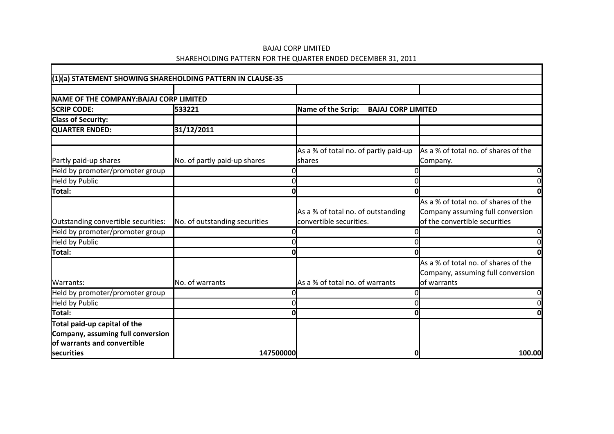# BAJAJ CORP LIMITED SHAREHOLDING PATTERN FOR THE QUARTER ENDED DECEMBER 31, 2011

 $\Gamma$ 

| (1)(a) STATEMENT SHOWING SHAREHOLDING PATTERN IN CLAUSE-35 |                               |                                                               |                                                                                                           |
|------------------------------------------------------------|-------------------------------|---------------------------------------------------------------|-----------------------------------------------------------------------------------------------------------|
|                                                            |                               |                                                               |                                                                                                           |
| NAME OF THE COMPANY: BAJAJ CORP LIMITED                    |                               |                                                               |                                                                                                           |
| <b>SCRIP CODE:</b>                                         | 533221                        | Name of the Scrip:<br><b>BAJAJ CORP LIMITED</b>               |                                                                                                           |
| <b>Class of Security:</b>                                  |                               |                                                               |                                                                                                           |
| QUARTER ENDED:                                             | 31/12/2011                    |                                                               |                                                                                                           |
|                                                            |                               |                                                               |                                                                                                           |
|                                                            |                               | As a % of total no. of partly paid-up                         | As a % of total no. of shares of the                                                                      |
| Partly paid-up shares                                      | No. of partly paid-up shares  | <b>shares</b>                                                 | Company.                                                                                                  |
| Held by promoter/promoter group                            |                               |                                                               |                                                                                                           |
| <b>Held by Public</b>                                      |                               |                                                               |                                                                                                           |
| Total:                                                     |                               |                                                               |                                                                                                           |
| Outstanding convertible securities:                        | No. of outstanding securities | As a % of total no. of outstanding<br>convertible securities. | As a % of total no. of shares of the<br>Company assuming full conversion<br>of the convertible securities |
| Held by promoter/promoter group                            |                               |                                                               | 0                                                                                                         |
| <b>Held by Public</b>                                      |                               |                                                               |                                                                                                           |
| Total:                                                     |                               |                                                               |                                                                                                           |
| Warrants:                                                  | No. of warrants               | As a % of total no. of warrants                               | As a % of total no. of shares of the<br>Company, assuming full conversion<br><b>l</b> of warrants         |
| Held by promoter/promoter group                            |                               |                                                               | 0                                                                                                         |
| Held by Public                                             |                               |                                                               |                                                                                                           |
| Total:                                                     |                               |                                                               |                                                                                                           |
| Total paid-up capital of the                               |                               |                                                               |                                                                                                           |
| Company, assuming full conversion                          |                               |                                                               |                                                                                                           |
| of warrants and convertible                                |                               |                                                               |                                                                                                           |
| securities                                                 | 147500000                     |                                                               | 100.00                                                                                                    |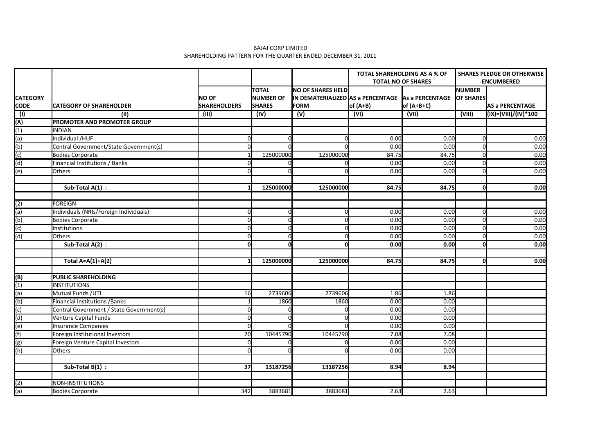#### BAJAJ CORP LIMITED SHAREHOLDING PATTERN FOR THE QUARTER ENDED DECEMBER 31, 2011

|                                |                                          |                                     |                                             |                                                                                              |                   | <b>TOTAL SHAREHOLDING AS A % OF</b><br><b>TOTAL NO OF SHARES</b> | <b>SHARES PLEDGE OR OTHERWISE</b><br><b>ENCUMBERED</b> |                        |  |
|--------------------------------|------------------------------------------|-------------------------------------|---------------------------------------------|----------------------------------------------------------------------------------------------|-------------------|------------------------------------------------------------------|--------------------------------------------------------|------------------------|--|
| <b>CATEGORY</b><br><b>CODE</b> | <b>CATEGORY OF SHAREHOLDER</b>           | <b>NO OF</b><br><b>SHAREHOLDERS</b> | Ιτοται<br><b>NUMBER OF</b><br><b>SHARES</b> | <b>NO OF SHARES HELD</b><br>IN DEMATERIALIZED AS a PERCENTAGE As a PERCENTAGE<br><b>FORM</b> | $of (A+B)$        | $of (A+B+C)$                                                     | <b>INUMBER</b><br><b>OF SHARES</b>                     | <b>AS a PERCENTAGE</b> |  |
| $\overline{(\mathsf{I})}$      | (II)                                     | (III)                               | (IV)                                        | (V)                                                                                          | $\overline{(VI)}$ | (VII)                                                            | (VIII)                                                 | (IX)=(VIII)/(IV)*100   |  |
| (A)                            | PROMOTER AND PROMOTER GROUP              |                                     |                                             |                                                                                              |                   |                                                                  |                                                        |                        |  |
| $\overline{(1)}$               | <b>INDIAN</b>                            |                                     |                                             |                                                                                              |                   |                                                                  |                                                        |                        |  |
| (a)                            | Individual /HUF                          |                                     |                                             | O                                                                                            | 0.00              | 0.00                                                             |                                                        | 0.00                   |  |
| (b)                            | Central Government/State Government(s)   | $\Omega$                            |                                             | $\cap$                                                                                       | 0.00              | 0.00                                                             |                                                        | 0.00                   |  |
| (c)                            | <b>Bodies Corporate</b>                  |                                     | 125000000                                   | 125000000                                                                                    | 84.75             | 84.75                                                            | O                                                      | 0.00                   |  |
| (d)                            | Financial Institutions / Banks           |                                     | C                                           | $\Omega$                                                                                     | 0.00              | 0.00                                                             | U                                                      | 0.00                   |  |
| $\overline{(e)}$               | <b>Others</b>                            |                                     |                                             | $\Omega$                                                                                     | 0.00              | 0.00                                                             | U                                                      | 0.00                   |  |
|                                |                                          |                                     |                                             |                                                                                              |                   |                                                                  |                                                        |                        |  |
|                                | Sub-Total A(1) :                         |                                     | 125000000                                   | 125000000                                                                                    | 84.75             | 84.75                                                            | O                                                      | 0.00                   |  |
| (2)                            | FOREIGN                                  |                                     |                                             |                                                                                              |                   |                                                                  |                                                        |                        |  |
| (a)                            | Individuals (NRIs/Foreign Individuals)   | $\Omega$                            | C                                           | $\Omega$                                                                                     | 0.00              | 0.00                                                             | n                                                      | 0.00                   |  |
| (b)                            | <b>Bodies Corporate</b>                  |                                     | ſ                                           | $\Omega$                                                                                     | 0.00              | 0.00                                                             |                                                        | 0.00                   |  |
| (c)                            | Institutions                             |                                     | C                                           | $\Omega$                                                                                     | 0.00              | 0.00                                                             |                                                        | 0.00                   |  |
| (d)                            | <b>Others</b>                            |                                     | r                                           | $\Omega$                                                                                     | 0.00              | 0.00                                                             | n                                                      | 0.00                   |  |
|                                | Sub-Total A(2):                          |                                     | $\Omega$<br>ΩI                              | $\Omega$                                                                                     | 0.00              | 0.00                                                             | U                                                      | 0.00                   |  |
|                                | Total $A=A(1)+A(2)$                      |                                     | 125000000                                   | 125000000                                                                                    | 84.75             | 84.75                                                            | O                                                      | 0.00                   |  |
|                                |                                          |                                     |                                             |                                                                                              |                   |                                                                  |                                                        |                        |  |
| (B)                            | <b>PUBLIC SHAREHOLDING</b>               |                                     |                                             |                                                                                              |                   |                                                                  |                                                        |                        |  |
| (1)                            | <b>INSTITUTIONS</b>                      |                                     |                                             |                                                                                              |                   |                                                                  |                                                        |                        |  |
| (a)                            | Mutual Funds / UTI                       | 16                                  | 2739606                                     | 2739606                                                                                      | 1.86              | 1.86                                                             |                                                        |                        |  |
| (b)                            | <b>Financial Institutions / Banks</b>    |                                     | 1860                                        | 1860                                                                                         | 0.00              | 0.00                                                             |                                                        |                        |  |
| (c)                            | Central Government / State Government(s) |                                     |                                             |                                                                                              | 0.00              | 0.00                                                             |                                                        |                        |  |
| (d)                            | <b>Venture Capital Funds</b>             |                                     |                                             | $\Omega$                                                                                     | 0.00              | 0.00                                                             |                                                        |                        |  |
| (e)                            | <b>Insurance Companies</b>               |                                     |                                             |                                                                                              | 0.00              | 0.00                                                             |                                                        |                        |  |
| (f)                            | Foreign Institutional Investors          | 20                                  | 10445790                                    | 10445790                                                                                     | 7.08              | 7.08                                                             |                                                        |                        |  |
| (g)                            | Foreign Venture Capital Investors        |                                     |                                             | $\Omega$                                                                                     | 0.00              | 0.00                                                             |                                                        |                        |  |
| (h)                            | <b>Others</b>                            |                                     |                                             | n                                                                                            | 0.00              | 0.00                                                             |                                                        |                        |  |
|                                | Sub-Total B(1) :                         | 37                                  | 13187256                                    | 13187256                                                                                     | 8.94              | 8.94                                                             |                                                        |                        |  |
|                                |                                          |                                     |                                             |                                                                                              |                   |                                                                  |                                                        |                        |  |
| (2)                            | NON-INSTITUTIONS                         |                                     |                                             |                                                                                              |                   |                                                                  |                                                        |                        |  |
| (a)                            | Bodies Corporate                         | 342                                 | 3883681                                     | 3883681                                                                                      | 2.63              | 2.63                                                             |                                                        |                        |  |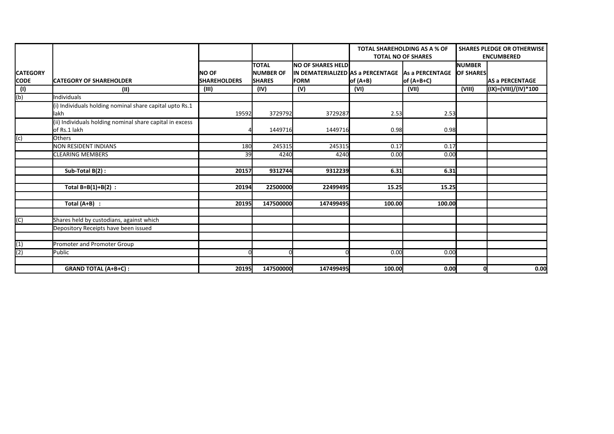|                           |                                                                          |                     |                  |                                                      | <b>TOTAL SHAREHOLDING AS A % OF</b><br><b>TOTAL NO OF SHARES</b> |              | <b>SHARES PLEDGE OR OTHERWISE</b><br><b>ENCUMBERED</b> |                        |
|---------------------------|--------------------------------------------------------------------------|---------------------|------------------|------------------------------------------------------|------------------------------------------------------------------|--------------|--------------------------------------------------------|------------------------|
|                           |                                                                          |                     | <b>TOTAL</b>     | <b>NO OF SHARES HELD</b>                             |                                                                  |              | <b>NUMBER</b>                                          |                        |
| <b>CATEGORY</b>           |                                                                          | NO OF               | <b>NUMBER OF</b> | lIN DEMATERIALIZED lAS a PERCENTAGE LAS a PERCENTAGE |                                                                  |              | <b>OF SHARES</b>                                       |                        |
| <b>CODE</b>               | <b>ICATEGORY OF SHAREHOLDER</b>                                          | <b>SHAREHOLDERS</b> | <b>SHARES</b>    | <b>IFORM</b>                                         | $of (A+B)$                                                       | $of (A+B+C)$ |                                                        | <b>AS a PERCENTAGE</b> |
| $\overline{(\mathsf{I})}$ | (II)                                                                     | (III)               | (IV)             | (V)                                                  | (VI)                                                             | (VII)        | (VIII)                                                 | (IX)=(VIII)/(IV)*100   |
| (b)                       | Individuals                                                              |                     |                  |                                                      |                                                                  |              |                                                        |                        |
|                           | (i) Individuals holding nominal share capital upto Rs.1<br>lakh          | 19592               | 3729792          | 3729287                                              | 2.53                                                             | 2.53         |                                                        |                        |
|                           |                                                                          |                     |                  |                                                      |                                                                  |              |                                                        |                        |
|                           | (ii) Individuals holding nominal share capital in excess<br>of Rs.1 lakh |                     | 1449716          | 1449716                                              | 0.98                                                             | 0.98         |                                                        |                        |
| $\sqrt{c}$                | <b>l</b> Others                                                          |                     |                  |                                                      |                                                                  |              |                                                        |                        |
|                           | NON RESIDENT INDIANS                                                     | 180                 | 245315           | 245315                                               | 0.17                                                             | 0.17         |                                                        |                        |
|                           | <b>CLEARING MEMBERS</b>                                                  | 39                  | 4240             | 4240                                                 | 0.00                                                             | 0.00         |                                                        |                        |
|                           |                                                                          |                     |                  |                                                      |                                                                  |              |                                                        |                        |
|                           | Sub-Total B(2):                                                          | 20157               | 9312744          | 9312239                                              | 6.31                                                             | 6.31         |                                                        |                        |
|                           |                                                                          |                     |                  |                                                      |                                                                  |              |                                                        |                        |
|                           | Total $B=B(1)+B(2)$ :                                                    | 20194               | 22500000         | 22499495                                             | 15.25                                                            | 15.25        |                                                        |                        |
|                           |                                                                          |                     |                  |                                                      |                                                                  |              |                                                        |                        |
|                           | Total $(A+B)$ :                                                          | 20195               | 147500000l       | 147499495                                            | 100.00                                                           | 100.00       |                                                        |                        |
|                           |                                                                          |                     |                  |                                                      |                                                                  |              |                                                        |                        |
| $\overline{(C)}$          | Shares held by custodians, against which                                 |                     |                  |                                                      |                                                                  |              |                                                        |                        |
|                           | Depository Receipts have been issued                                     |                     |                  |                                                      |                                                                  |              |                                                        |                        |
|                           |                                                                          |                     |                  |                                                      |                                                                  |              |                                                        |                        |
| $\overline{(1)}$          | Promoter and Promoter Group                                              |                     |                  |                                                      |                                                                  |              |                                                        |                        |
| (2)                       | Public                                                                   |                     | $\Omega$         |                                                      | 0.00                                                             | 0.00         |                                                        |                        |
|                           |                                                                          |                     |                  |                                                      |                                                                  |              |                                                        |                        |
|                           | <b>GRAND TOTAL (A+B+C):</b>                                              | 20195               | 147500000        | 147499495                                            | 100.00                                                           | 0.00         | 0                                                      | 0.00                   |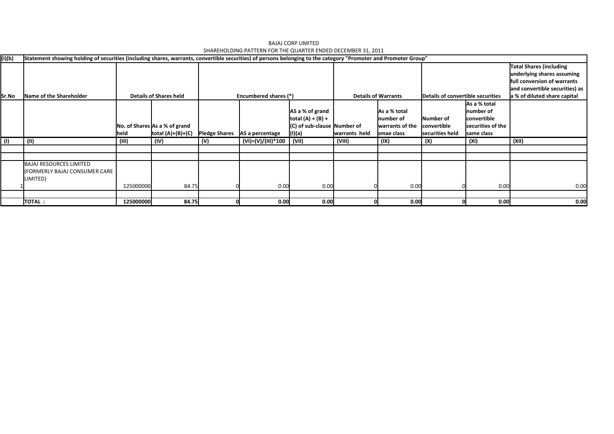| (I)(b) | Statement showing holding of securities (including shares, warrants, convertible securities) of persons belonging to the category "Promoter and Promoter Group" |           |                               |                      |                              |                             |               |                            |                 |                                   |                                                              |
|--------|-----------------------------------------------------------------------------------------------------------------------------------------------------------------|-----------|-------------------------------|----------------------|------------------------------|-----------------------------|---------------|----------------------------|-----------------|-----------------------------------|--------------------------------------------------------------|
|        |                                                                                                                                                                 |           |                               |                      |                              |                             |               |                            |                 |                                   | <b>Total Shares (including</b><br>underlying shares assuming |
|        |                                                                                                                                                                 |           |                               |                      |                              |                             |               |                            |                 |                                   | lfull conversion of warrants                                 |
|        |                                                                                                                                                                 |           |                               |                      |                              |                             |               |                            |                 |                                   | and convertible securities) as                               |
| Sr.No  | Name of the Shareholder                                                                                                                                         |           | <b>Details of Shares held</b> |                      | <b>Encumbered shares (*)</b> |                             |               | <b>Details of Warrants</b> |                 | Details of convertible securities | a % of diluted share capital                                 |
|        |                                                                                                                                                                 |           |                               |                      |                              |                             |               |                            |                 | As a % total                      |                                                              |
|        |                                                                                                                                                                 |           |                               |                      |                              | AS a % of grand             |               | As a % total               |                 | Inumber of                        |                                                              |
|        |                                                                                                                                                                 |           |                               |                      |                              | $ total (A) + (B) +$        |               | number of                  | lNumber of      | <b>convertible</b>                |                                                              |
|        |                                                                                                                                                                 |           | No. of Shares As a % of grand |                      |                              | (C) of sub-clause Number of |               | warrants of the            | convertible     | securities of the                 |                                                              |
|        |                                                                                                                                                                 | held      | total $(A)+(B)+(C)$           | <b>Pledge Shares</b> | AS a percentage              | (I)(a)                      | warrants held | smae class                 | securities held | same class                        |                                                              |
| (1)    | (11)                                                                                                                                                            | (III)     | (IV)                          | (V)                  | (VI)=(V)/(III)*100           | (VII)                       | (VIII)        | (IX)                       | (x)             | (XI)                              | (XII)                                                        |
|        |                                                                                                                                                                 |           |                               |                      |                              |                             |               |                            |                 |                                   |                                                              |
|        |                                                                                                                                                                 |           |                               |                      |                              |                             |               |                            |                 |                                   |                                                              |
|        | <b>BAJAJ RESOURCES LIMITED</b>                                                                                                                                  |           |                               |                      |                              |                             |               |                            |                 |                                   |                                                              |
|        | l(FORMERLY BAJAJ CONSUMER CARE                                                                                                                                  |           |                               |                      |                              |                             |               |                            |                 |                                   |                                                              |
|        | LIMITED)                                                                                                                                                        |           |                               |                      |                              |                             |               |                            |                 |                                   |                                                              |
|        |                                                                                                                                                                 | 125000000 | 84.75                         |                      | 0.00                         | 0.00                        |               | 0.00                       |                 | 0.00                              | 0.00                                                         |
|        |                                                                                                                                                                 |           |                               |                      |                              |                             |               |                            |                 |                                   |                                                              |
|        | <b>TOTAL:</b>                                                                                                                                                   | 125000000 | 84.75                         |                      | 0.00                         | 0.00                        |               | 0.00                       |                 | 0.00                              | 0.00                                                         |

BAJAJ CORP LIMITED SHAREHOLDING PATTERN FOR THE QUARTER ENDED DECEMBER 31, 2011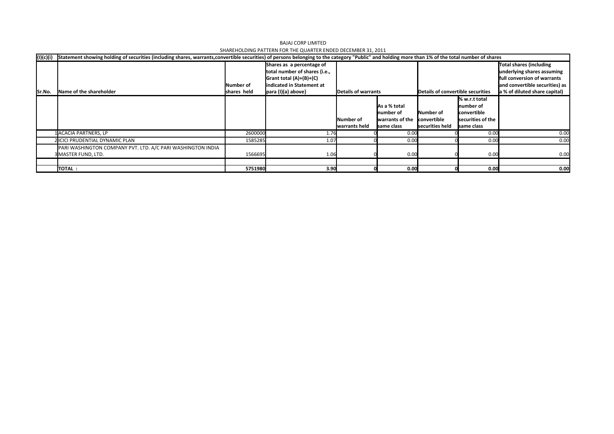| (1)(c)(i) | Statement showing holding of securities (including shares, warrants,convertible securities) of persons belonging to the category "Public" and holding more than 1% of the total number of shares |             |                                    |                     |                  |                                   |                   |                                |  |  |
|-----------|--------------------------------------------------------------------------------------------------------------------------------------------------------------------------------------------------|-------------|------------------------------------|---------------------|------------------|-----------------------------------|-------------------|--------------------------------|--|--|
|           |                                                                                                                                                                                                  |             | Shares as a percentage of          |                     |                  |                                   |                   | Total shares (including        |  |  |
|           |                                                                                                                                                                                                  |             | total number of shares {i.e.,      |                     |                  |                                   |                   | underlying shares assuming     |  |  |
|           |                                                                                                                                                                                                  |             | $\left $ Grant total $(A)+(B)+(C)$ |                     |                  |                                   |                   | full conversion of warrants    |  |  |
|           |                                                                                                                                                                                                  | lNumber of  | indicated in Statement at          |                     |                  |                                   |                   | and convertible securities) as |  |  |
| Sr.No.    | Name of the shareholder                                                                                                                                                                          | shares held | para (I)(a) above}                 | Details of warrants |                  | Details of convertible securities |                   | a % of diluted share capital)  |  |  |
|           |                                                                                                                                                                                                  |             |                                    |                     |                  |                                   | % w.r.t total     |                                |  |  |
|           |                                                                                                                                                                                                  |             |                                    |                     | As a % total     |                                   | Inumber of        |                                |  |  |
|           |                                                                                                                                                                                                  |             |                                    |                     | Inumber of       | <b>INumber of</b>                 | convertible       |                                |  |  |
|           |                                                                                                                                                                                                  |             |                                    | Number of           | lwarrants of the | convertible                       | securities of the |                                |  |  |
|           |                                                                                                                                                                                                  |             |                                    | warrants held       | same class       | securities held                   | same class        |                                |  |  |
|           | 1 ACACIA PARTNERS, LP                                                                                                                                                                            | 2600000     | 1.76                               |                     | 0.00             |                                   | 0.00              | 0.00                           |  |  |
|           | 2 ICICI PRUDENTIAL DYNAMIC PLAN                                                                                                                                                                  | 1585285     | 1.07                               |                     | 0.00             |                                   | 0.00              | 0.00                           |  |  |
|           | PARI WASHINGTON COMPANY PVT. LTD. A/C PARI WASHINGTON INDIA                                                                                                                                      |             |                                    |                     |                  |                                   |                   |                                |  |  |
|           | 3 MASTER FUND, LTD.                                                                                                                                                                              | 1566695     | 1.06                               |                     | 0.00             |                                   | 0.00              | 0.00                           |  |  |
|           |                                                                                                                                                                                                  |             |                                    |                     |                  |                                   |                   |                                |  |  |
|           | <b>TOTAL:</b>                                                                                                                                                                                    | 5751980     | 3.90                               |                     | 0.00             |                                   | 0.00              | 0.00                           |  |  |

BAJAJ CORP LIMITED SHAREHOLDING PATTERN FOR THE QUARTER ENDED DECEMBER 31, 2011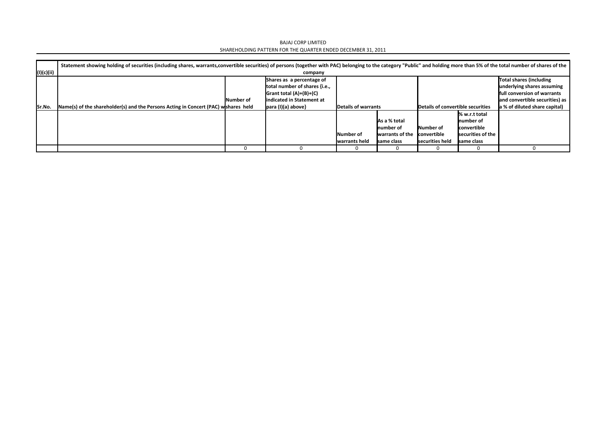BAJAJ CORP LIMITED SHAREHOLDING PATTERN FOR THE QUARTER ENDED DECEMBER 31, 2011

|            | Statement showing holding of securities (including shares, warrants,convertible securities) of persons (together with PAC) belonging to the category "Public" and holding more than 5% of the total number of shares of the |                  |                                    |                     |                 |                                   |                   |                                    |  |  |  |
|------------|-----------------------------------------------------------------------------------------------------------------------------------------------------------------------------------------------------------------------------|------------------|------------------------------------|---------------------|-----------------|-----------------------------------|-------------------|------------------------------------|--|--|--|
| (I)(c)(ii) |                                                                                                                                                                                                                             | company          |                                    |                     |                 |                                   |                   |                                    |  |  |  |
|            |                                                                                                                                                                                                                             |                  | Shares as a percentage of          |                     |                 |                                   |                   | Total shares (including            |  |  |  |
|            |                                                                                                                                                                                                                             |                  | total number of shares {i.e.,      |                     |                 |                                   |                   | underlying shares assuming         |  |  |  |
|            |                                                                                                                                                                                                                             |                  | $\left $ Grant total $(A)+(B)+(C)$ |                     |                 |                                   |                   | <b>full conversion of warrants</b> |  |  |  |
|            |                                                                                                                                                                                                                             | <b>Number of</b> | indicated in Statement at          |                     |                 |                                   |                   | and convertible securities) as     |  |  |  |
| lSr.No.    | Name(s) of the shareholder(s) and the Persons Acting in Concert (PAC) wishares held                                                                                                                                         |                  | $\vert$ para (I)(a) above}         | Details of warrants |                 | Details of convertible securities |                   | a % of diluted share capital)      |  |  |  |
|            |                                                                                                                                                                                                                             |                  |                                    |                     |                 |                                   | % w.r.t total     |                                    |  |  |  |
|            |                                                                                                                                                                                                                             |                  |                                    |                     | As a % total    |                                   | Inumber of        |                                    |  |  |  |
|            |                                                                                                                                                                                                                             |                  |                                    |                     | Inumber of      | <b>Number of</b>                  | convertible       |                                    |  |  |  |
|            |                                                                                                                                                                                                                             |                  |                                    | Number of           | warrants of the | <b>convertible</b>                | securities of the |                                    |  |  |  |
|            |                                                                                                                                                                                                                             |                  |                                    | warrants held       | Isame class     | securities held                   | Isame class       |                                    |  |  |  |
|            |                                                                                                                                                                                                                             |                  |                                    |                     |                 |                                   |                   |                                    |  |  |  |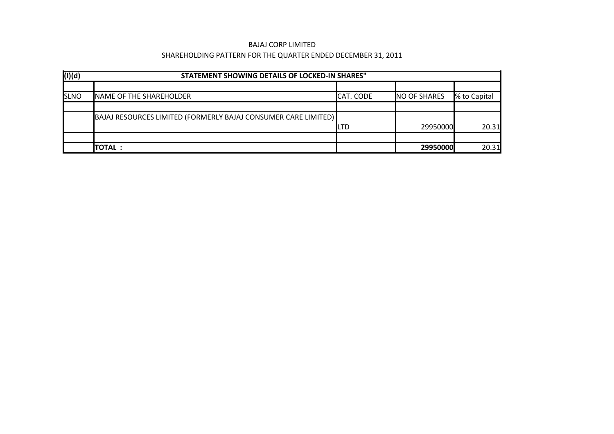### BAJAJ CORP LIMITED

# SHAREHOLDING PATTERN FOR THE QUARTER ENDED DECEMBER 31, 2011

| $\sqrt{(1)(d)}$ | STATEMENT SHOWING DETAILS OF LOCKED-IN SHARES"                 |                  |                     |              |  |  |  |  |  |  |  |
|-----------------|----------------------------------------------------------------|------------------|---------------------|--------------|--|--|--|--|--|--|--|
|                 |                                                                |                  |                     |              |  |  |  |  |  |  |  |
| <b>SLNO</b>     | NAME OF THE SHAREHOLDER                                        | <b>CAT. CODE</b> | <b>NO OF SHARES</b> | % to Capital |  |  |  |  |  |  |  |
|                 |                                                                |                  |                     |              |  |  |  |  |  |  |  |
|                 | BAJAJ RESOURCES LIMITED (FORMERLY BAJAJ CONSUMER CARE LIMITED) |                  |                     |              |  |  |  |  |  |  |  |
|                 |                                                                | ILTD             | 29950000            | 20.31        |  |  |  |  |  |  |  |
|                 |                                                                |                  |                     |              |  |  |  |  |  |  |  |
|                 | <b>ITOTAL :</b>                                                |                  | 29950000            | 20.31        |  |  |  |  |  |  |  |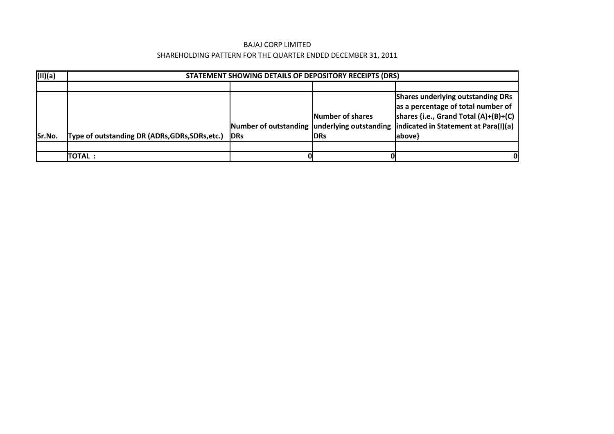### BAJAJ CORP LIMITED

# SHAREHOLDING PATTERN FOR THE QUARTER ENDED DECEMBER 31, 2011

| (II)(a) |                                                 | STATEMENT SHOWING DETAILS OF DEPOSITORY RECEIPTS (DRS) |                                         |                                                                                                                                                                                                                   |  |  |  |  |  |  |
|---------|-------------------------------------------------|--------------------------------------------------------|-----------------------------------------|-------------------------------------------------------------------------------------------------------------------------------------------------------------------------------------------------------------------|--|--|--|--|--|--|
|         |                                                 |                                                        |                                         |                                                                                                                                                                                                                   |  |  |  |  |  |  |
| Sr.No.  | Type of outstanding DR (ADRs, GDRs, SDRs, etc.) | <b>IDRs</b>                                            | <b>INumber of shares</b><br><b>IDRs</b> | Shares underlying outstanding DRs<br>as a percentage of total number of<br>shares {i.e., Grand Total $(A)+(B)+(C)$<br>Number of outstanding underlying outstanding indicated in Statement at Para(I)(a)<br> above |  |  |  |  |  |  |
|         |                                                 |                                                        |                                         |                                                                                                                                                                                                                   |  |  |  |  |  |  |
|         | <b>TOTAL :</b>                                  |                                                        |                                         |                                                                                                                                                                                                                   |  |  |  |  |  |  |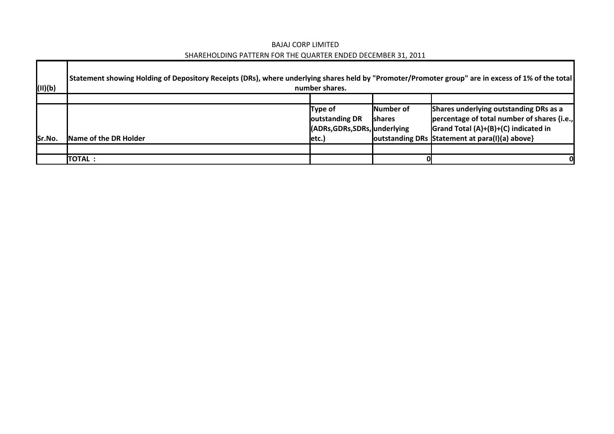# BAJAJ CORP LIMITED SHAREHOLDING PATTERN FOR THE QUARTER ENDED DECEMBER 31, 2011

Г

| (11)(b) | Statement showing Holding of Depository Receipts (DRs), where underlying shares held by "Promoter/Promoter group" are in excess of 1% of the total | number shares.                  |                  |                                                  |
|---------|----------------------------------------------------------------------------------------------------------------------------------------------------|---------------------------------|------------------|--------------------------------------------------|
|         |                                                                                                                                                    |                                 |                  |                                                  |
|         |                                                                                                                                                    | Type of                         | <b>Number of</b> | Shares underlying outstanding DRs as a           |
|         |                                                                                                                                                    | outstanding DR                  | <b>shares</b>    | percentage of total number of shares {i.e.,      |
|         |                                                                                                                                                    | (ADRs, GDRs, SDRs, Junderlying) |                  | $\vert$ Grand Total (A)+(B)+(C) indicated in     |
| Sr.No.  | Name of the DR Holder                                                                                                                              | letc.)                          |                  | outstanding DRs   Statement at para(I)(a) above} |
|         |                                                                                                                                                    |                                 |                  |                                                  |
|         | (TOTAL :                                                                                                                                           |                                 |                  | O                                                |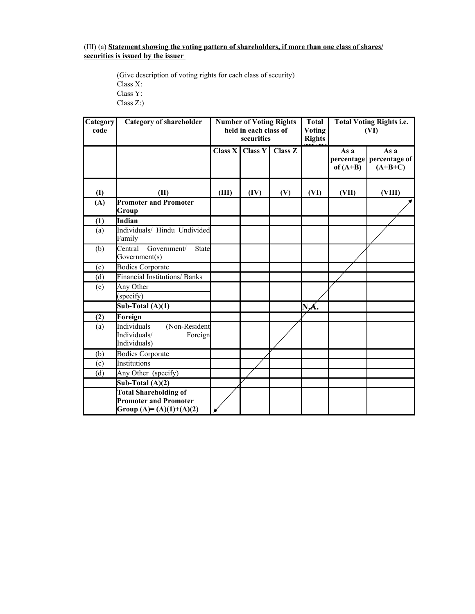### **securities is issued by the issuer**  (III) (a) **Statement showing the voting pattern of shareholders, if more than one class of shares/**

(Give description of voting rights for each class of security) Class X: Class Y: Class Z:)

| Category<br>code | <b>Category of shareholder</b>                                                           |                      | <b>Number of Voting Rights</b><br>held in each class of<br>securities |                | <b>Total</b><br>Voting<br><b>Rights</b> | <b>Total Voting Rights i.e.</b><br>(VI) |                                    |  |
|------------------|------------------------------------------------------------------------------------------|----------------------|-----------------------------------------------------------------------|----------------|-----------------------------------------|-----------------------------------------|------------------------------------|--|
|                  |                                                                                          | Class $\overline{X}$ | <b>Class Y</b>                                                        | <b>Class Z</b> |                                         | As a<br>percentage<br>of $(A+B)$        | As a<br>percentage of<br>$(A+B+C)$ |  |
| (I)              | (II)                                                                                     | (III)                | (IV)                                                                  | (V)            | (VI)                                    | (VII)                                   | (VIII)                             |  |
| (A)              | <b>Promoter and Promoter</b><br>Group                                                    |                      |                                                                       |                |                                         |                                         |                                    |  |
| (1)              | Indian                                                                                   |                      |                                                                       |                |                                         |                                         |                                    |  |
| (a)              | Individuals/ Hindu Undivided<br>Family                                                   |                      |                                                                       |                |                                         |                                         |                                    |  |
| (b)              | Government/<br>Central<br>State<br>Government(s)                                         |                      |                                                                       |                |                                         |                                         |                                    |  |
| (c)              | <b>Bodies Corporate</b>                                                                  |                      |                                                                       |                |                                         |                                         |                                    |  |
| (d)              | <b>Financial Institutions/ Banks</b>                                                     |                      |                                                                       |                |                                         |                                         |                                    |  |
| (e)              | Any Other                                                                                |                      |                                                                       |                |                                         |                                         |                                    |  |
|                  | (specify)                                                                                |                      |                                                                       |                |                                         |                                         |                                    |  |
|                  | Sub-Total $(A)(1)$                                                                       |                      |                                                                       |                | NA.                                     |                                         |                                    |  |
| (2)              | Foreign                                                                                  |                      |                                                                       |                |                                         |                                         |                                    |  |
| (a)              | <b>Individuals</b><br>(Non-Resident<br>Individuals/<br>Foreign<br>Individuals)           |                      |                                                                       |                |                                         |                                         |                                    |  |
| (b)              | Bodies Corporate                                                                         |                      |                                                                       |                |                                         |                                         |                                    |  |
| (c)              | Institutions                                                                             |                      |                                                                       |                |                                         |                                         |                                    |  |
| (d)              | Any Other (specify)                                                                      |                      |                                                                       |                |                                         |                                         |                                    |  |
|                  | Sub-Total $(A)(2)$                                                                       |                      |                                                                       |                |                                         |                                         |                                    |  |
|                  | <b>Total Shareholding of</b><br><b>Promoter and Promoter</b><br>Group (A)= (A)(1)+(A)(2) |                      |                                                                       |                |                                         |                                         |                                    |  |